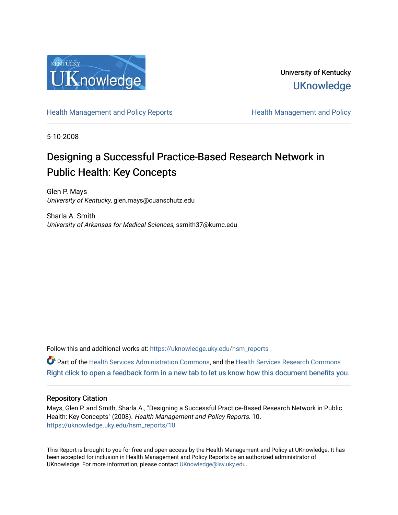

University of Kentucky **UKnowledge** 

[Health Management and Policy Reports](https://uknowledge.uky.edu/hsm_reports) **Health Management and Policy Health Management and Policy** 

5-10-2008

# Designing a Successful Practice-Based Research Network in Public Health: Key Concepts

Glen P. Mays University of Kentucky, glen.mays@cuanschutz.edu

Sharla A. Smith University of Arkansas for Medical Sciences, ssmith37@kumc.edu

Follow this and additional works at: [https://uknowledge.uky.edu/hsm\\_reports](https://uknowledge.uky.edu/hsm_reports?utm_source=uknowledge.uky.edu%2Fhsm_reports%2F10&utm_medium=PDF&utm_campaign=PDFCoverPages)

Part of the [Health Services Administration Commons,](http://network.bepress.com/hgg/discipline/747?utm_source=uknowledge.uky.edu%2Fhsm_reports%2F10&utm_medium=PDF&utm_campaign=PDFCoverPages) and the [Health Services Research Commons](http://network.bepress.com/hgg/discipline/816?utm_source=uknowledge.uky.edu%2Fhsm_reports%2F10&utm_medium=PDF&utm_campaign=PDFCoverPages) [Right click to open a feedback form in a new tab to let us know how this document benefits you.](https://uky.az1.qualtrics.com/jfe/form/SV_9mq8fx2GnONRfz7)

#### Repository Citation

Mays, Glen P. and Smith, Sharla A., "Designing a Successful Practice-Based Research Network in Public Health: Key Concepts" (2008). Health Management and Policy Reports. 10. [https://uknowledge.uky.edu/hsm\\_reports/10](https://uknowledge.uky.edu/hsm_reports/10?utm_source=uknowledge.uky.edu%2Fhsm_reports%2F10&utm_medium=PDF&utm_campaign=PDFCoverPages) 

This Report is brought to you for free and open access by the Health Management and Policy at UKnowledge. It has been accepted for inclusion in Health Management and Policy Reports by an authorized administrator of UKnowledge. For more information, please contact [UKnowledge@lsv.uky.edu](mailto:UKnowledge@lsv.uky.edu).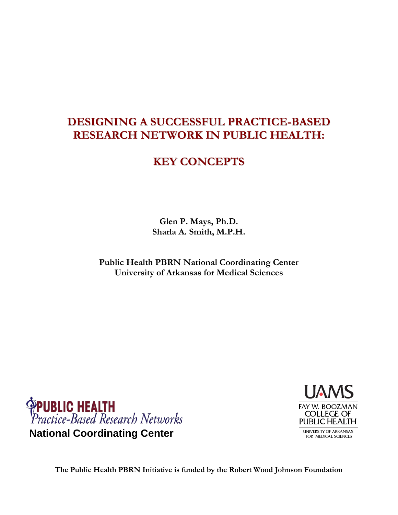## **DESIGNING A SUCCESSFUL PRACTICE-BASED RESEARCH NETWORK IN PUBLIC HEALTH:**

### **KEY CONCEPTS**

**Glen P. Mays, Ph.D. Sharla A. Smith, M.P.H.**

**Public Health PBRN National Coordinating Center University of Arkansas for Medical Sciences**





**The Public Health PBRN Initiative is funded by the Robert Wood Johnson Foundation**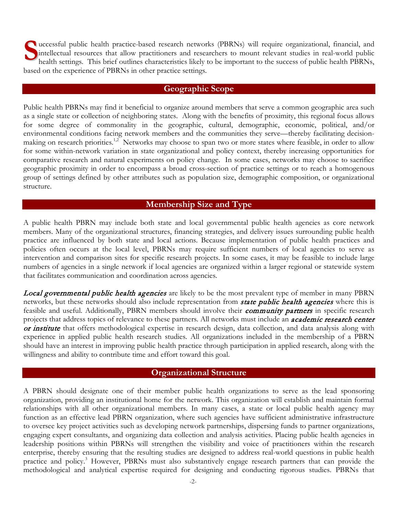solution of the practice-based research networks (PBRNs) will require organizational, financial, and intellectual resources that allow practitioners and researchers to mount relevant studies in real-world public health set intellectual resources that allow practitioners and researchers to mount relevant studies in real-world public health settings. This brief outlines characteristics likely to be important to the success of public health PBRNs, based on the experience of PBRNs in other practice settings.

#### **Geographic Scope**

Public health PBRNs may find it beneficial to organize around members that serve a common geographic area such as a single state or collection of neighboring states. Along with the benefits of proximity, this regional focus allows for some degree of commonality in the geographic, cultural, demographic, economic, political, and/or environmental conditions facing network members and the communities they serve—thereby facilitating decisionmaking on research priorities.<sup>1,2</sup> Networks may choose to span two or more states where feasible, in order to allow for some within-network variation in state organizational and policy context, thereby increasing opportunities for comparative research and natural experiments on policy change. In some cases, networks may choose to sacrifice geographic proximity in order to encompass a broad cross-section of practice settings or to reach a homogenous group of settings defined by other attributes such as population size, demographic composition, or organizational structure.

#### **Membership Size and Type**

A public health PBRN may include both state and local governmental public health agencies as core network members. Many of the organizational structures, financing strategies, and delivery issues surrounding public health practice are influenced by both state and local actions. Because implementation of public health practices and policies often occurs at the local level, PBRNs may require sufficient numbers of local agencies to serve as intervention and comparison sites for specific research projects. In some cases, it may be feasible to include large numbers of agencies in a single network if local agencies are organized within a larger regional or statewide system that facilitates communication and coordination across agencies.

Local governmental public health agencies are likely to be the most prevalent type of member in many PBRN networks, but these networks should also include representation from *state public health agencies* where this is feasible and useful. Additionally, PBRN members should involve their *community partners* in specific research projects that address topics of relevance to these partners. All networks must include an *academic research center* or institute that offers methodological expertise in research design, data collection, and data analysis along with experience in applied public health research studies. All organizations included in the membership of a PBRN should have an interest in improving public health practice through participation in applied research, along with the willingness and ability to contribute time and effort toward this goal.

#### **Organizational Structure**

A PBRN should designate one of their member public health organizations to serve as the lead sponsoring organization, providing an institutional home for the network. This organization will establish and maintain formal relationships with all other organizational members. In many cases, a state or local public health agency may function as an effective lead PBRN organization, where such agencies have sufficient administrative infrastructure to oversee key project activities such as developing network partnerships, dispersing funds to partner organizations, engaging expert consultants, and organizing data collection and analysis activities. Placing public health agencies in leadership positions within PBRNs will strengthen the visibility and voice of practitioners within the research enterprise, thereby ensuring that the resulting studies are designed to address real-world questions in public health practice and policy.<sup>3</sup> However, PBRNs must also substantively engage research partners that can provide the methodological and analytical expertise required for designing and conducting rigorous studies. PBRNs that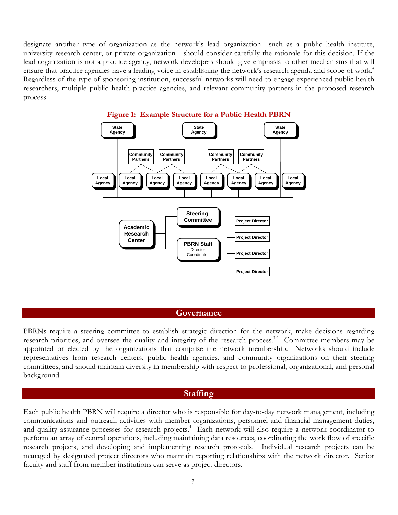designate another type of organization as the network's lead organization—such as a public health institute, university research center, or private organization—should consider carefully the rationale for this decision. If the lead organization is not a practice agency, network developers should give emphasis to other mechanisms that will ensure that practice agencies have a leading voice in establishing the network's research agenda and scope of work.<sup>4</sup> Regardless of the type of sponsoring institution, successful networks will need to engage experienced public health researchers, multiple public health practice agencies, and relevant community partners in the proposed research process.



#### **Figure 1: Example Structure for a Public Health PBRN**

#### **Governance**

PBRNs require a steering committee to establish strategic direction for the network, make decisions regarding research priorities, and oversee the quality and integrity of the research process.<sup>3,4</sup> Committee members may be appointed or elected by the organizations that comprise the network membership. Networks should include representatives from research centers, public health agencies, and community organizations on their steering committees, and should maintain diversity in membership with respect to professional, organizational, and personal background.

#### **Staffing**

Each public health PBRN will require a director who is responsible for day-to-day network management, including communications and outreach activities with member organizations, personnel and financial management duties, and quality assurance processes for research projects. 4 Each network will also require a network coordinator to perform an array of central operations, including maintaining data resources, coordinating the work flow of specific research projects, and developing and implementing research protocols. Individual research projects can be managed by designated project directors who maintain reporting relationships with the network director. Senior faculty and staff from member institutions can serve as project directors.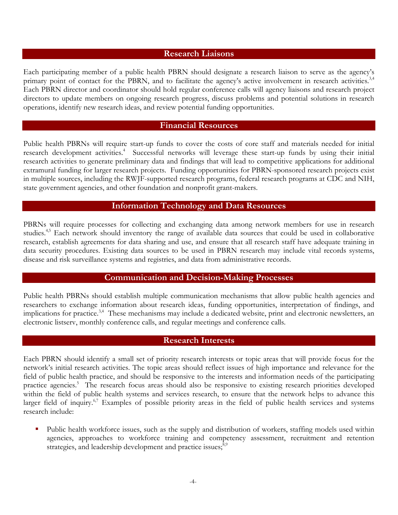#### **Research Liaisons**

Each participating member of a public health PBRN should designate a research liaison to serve as the agency's primary point of contact for the PBRN, and to facilitate the agency's active involvement in research activities.<sup>3,4</sup> Each PBRN director and coordinator should hold regular conference calls will agency liaisons and research project directors to update members on ongoing research progress, discuss problems and potential solutions in research operations, identify new research ideas, and review potential funding opportunities.

#### **Financial Resources**

Public health PBRNs will require start-up funds to cover the costs of core staff and materials needed for initial research development activities.<sup>4</sup> Successful networks will leverage these start-up funds by using their initial research activities to generate preliminary data and findings that will lead to competitive applications for additional extramural funding for larger research projects. Funding opportunities for PBRN-sponsored research projects exist in multiple sources, including the RWJF-supported research programs, federal research programs at CDC and NIH, state government agencies, and other foundation and nonprofit grant-makers.

#### **Information Technology and Data Resources**

PBRNs will require processes for collecting and exchanging data among network members for use in research studies.<sup>4,5</sup> Each network should inventory the range of available data sources that could be used in collaborative research, establish agreements for data sharing and use, and ensure that all research staff have adequate training in data security procedures. Existing data sources to be used in PBRN research may include vital records systems, disease and risk surveillance systems and registries, and data from administrative records.

#### **Communication and Decision-Making Processes**

Public health PBRNs should establish multiple communication mechanisms that allow public health agencies and researchers to exchange information about research ideas, funding opportunities, interpretation of findings, and implications for practice.<sup>3,4</sup> These mechanisms may include a dedicated website, print and electronic newsletters, an electronic listserv, monthly conference calls, and regular meetings and conference calls.

#### **Research Interests**

Each PBRN should identify a small set of priority research interests or topic areas that will provide focus for the network's initial research activities. The topic areas should reflect issues of high importance and relevance for the field of public health practice, and should be responsive to the interests and information needs of the participating practice agencies.<sup>5</sup> The research focus areas should also be responsive to existing research priorities developed within the field of public health systems and services research, to ensure that the network helps to advance this larger field of inquiry.<sup>6,7</sup> Examples of possible priority areas in the field of public health services and systems research include:

 Public health workforce issues, such as the supply and distribution of workers, staffing models used within agencies, approaches to workforce training and competency assessment, recruitment and retention strategies, and leadership development and practice issues;<sup>8,9</sup>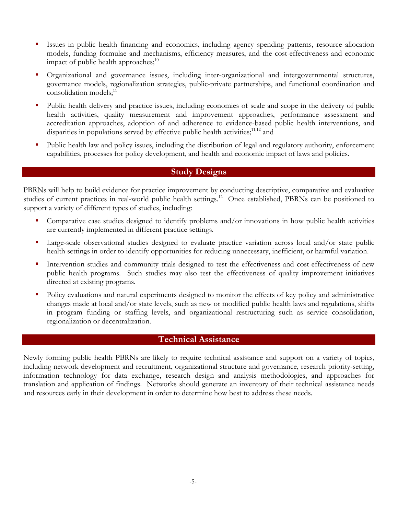- Issues in public health financing and economics, including agency spending patterns, resource allocation models, funding formulae and mechanisms, efficiency measures, and the cost-effectiveness and economic impact of public health approaches; $^{10}$
- Organizational and governance issues, including inter-organizational and intergovernmental structures, governance models, regionalization strategies, public-private partnerships, and functional coordination and consolidation models;<sup>11</sup>
- Public health delivery and practice issues, including economies of scale and scope in the delivery of public health activities, quality measurement and improvement approaches, performance assessment and accreditation approaches, adoption of and adherence to evidence-based public health interventions, and disparities in populations served by effective public health activities; $1^{1,12}$  and
- Public health law and policy issues, including the distribution of legal and regulatory authority, enforcement capabilities, processes for policy development, and health and economic impact of laws and policies.

#### **Study Designs**

PBRNs will help to build evidence for practice improvement by conducting descriptive, comparative and evaluative studies of current practices in real-world public health settings.<sup>12</sup> Once established, PBRNs can be positioned to support a variety of different types of studies, including:

- Comparative case studies designed to identify problems and/or innovations in how public health activities are currently implemented in different practice settings.
- Large-scale observational studies designed to evaluate practice variation across local and/or state public health settings in order to identify opportunities for reducing unnecessary, inefficient, or harmful variation.
- Intervention studies and community trials designed to test the effectiveness and cost-effectiveness of new public health programs. Such studies may also test the effectiveness of quality improvement initiatives directed at existing programs.
- Policy evaluations and natural experiments designed to monitor the effects of key policy and administrative changes made at local and/or state levels, such as new or modified public health laws and regulations, shifts in program funding or staffing levels, and organizational restructuring such as service consolidation, regionalization or decentralization.

### **Technical Assistance**

Newly forming public health PBRNs are likely to require technical assistance and support on a variety of topics, including network development and recruitment, organizational structure and governance, research priority-setting, information technology for data exchange, research design and analysis methodologies, and approaches for translation and application of findings. Networks should generate an inventory of their technical assistance needs and resources early in their development in order to determine how best to address these needs.